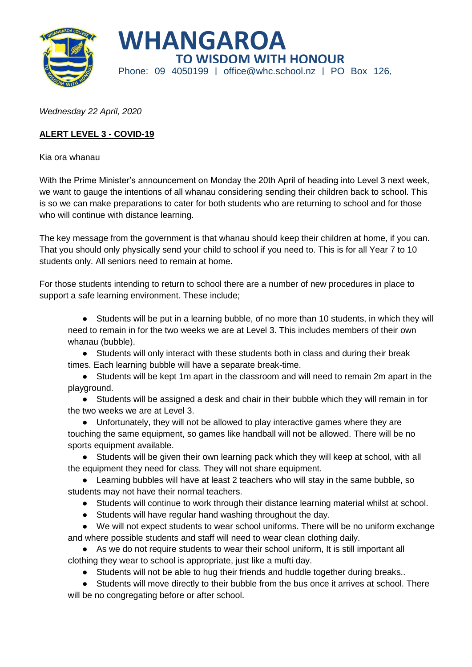



*Wednesday 22 April, 2020*

## **ALERT LEVEL 3 - COVID-19**

Kia ora whanau

With the Prime Minister's announcement on Monday the 20th April of heading into Level 3 next week, we want to gauge the intentions of all whanau considering sending their children back to school. This is so we can make preparations to cater for both students who are returning to school and for those who will continue with distance learning.

The key message from the government is that whanau should keep their children at home, if you can. That you should only physically send your child to school if you need to. This is for all Year 7 to 10 students only. All seniors need to remain at home.

For those students intending to return to school there are a number of new procedures in place to support a safe learning environment. These include;

● Students will be put in a learning bubble, of no more than 10 students, in which they will need to remain in for the two weeks we are at Level 3. This includes members of their own whanau (bubble).

- Students will only interact with these students both in class and during their break times. Each learning bubble will have a separate break-time.
- Students will be kept 1m apart in the classroom and will need to remain 2m apart in the playground.
- Students will be assigned a desk and chair in their bubble which they will remain in for the two weeks we are at Level 3.
- Unfortunately, they will not be allowed to play interactive games where they are touching the same equipment, so games like handball will not be allowed. There will be no sports equipment available.

● Students will be given their own learning pack which they will keep at school, with all the equipment they need for class. They will not share equipment.

• Learning bubbles will have at least 2 teachers who will stay in the same bubble, so students may not have their normal teachers.

- Students will continue to work through their distance learning material whilst at school.
- Students will have regular hand washing throughout the day.

● We will not expect students to wear school uniforms. There will be no uniform exchange and where possible students and staff will need to wear clean clothing daily.

- As we do not require students to wear their school uniform, It is still important all clothing they wear to school is appropriate, just like a mufti day.
	- Students will not be able to hug their friends and huddle together during breaks..
- Students will move directly to their bubble from the bus once it arrives at school. There will be no congregating before or after school.